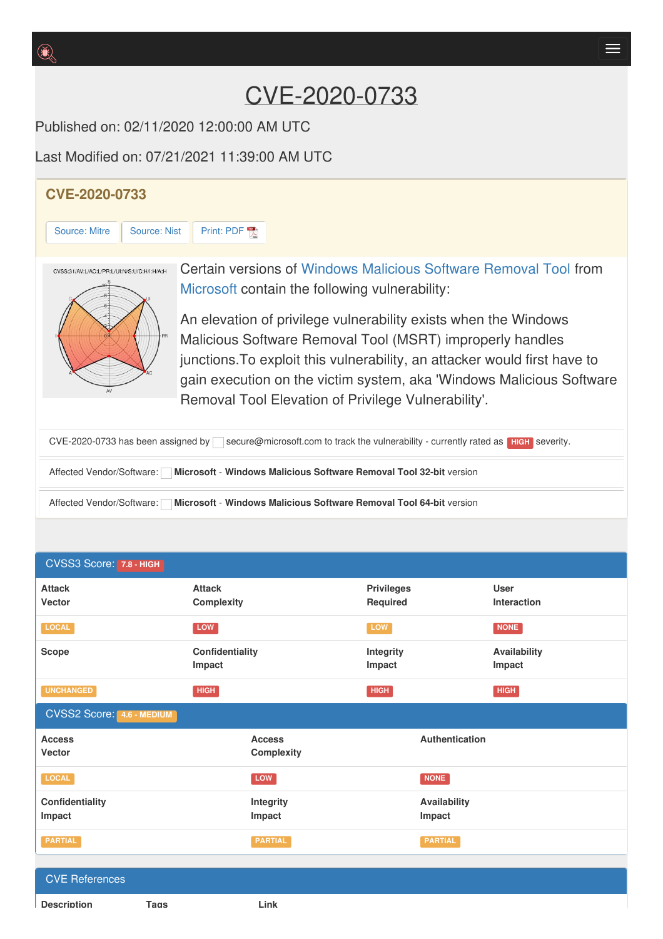## CVE-2020-0733

Published on: 02/11/2020 12:00:00 AM UTC

Last Modified on: 07/21/2021 11:39:00 AM UTC

## **CVE-2020-0733** [Source:](https://cve.report/CVE-2020-0733/nist) Mitre | Source: Nist | [Print:](https://cve.report/CVE-2020-733.pdf) PDF Certain versions of Windows [Malicious](http://cve.report/software/microsoft/windows_malicious_software_removal_tool) Software Removal Tool from CVSS:31/AV:L/AC:L/PR:L/UI:N/S:U/C:H/I:H/A:H [Microsoft](http://cve.report/vendor/microsoft) contain the following vulnerability: An elevation of privilege vulnerability exists when the Windows Malicious Software Removal Tool (MSRT) improperly handles junctions.To exploit this vulnerability, an attacker would first have to gain execution on the victim system, aka 'Windows Malicious Software Removal Tool Elevation of Privilege Vulnerability'. CVE-2020-0733 has been assigned by secure@microsoft.com to track the vulnerability - currently rated as **HIGH** severity. Affected Vendor/Software: **Microsoft** - **Windows Malicious Software Removal Tool 32-bit** version Affected Vendor/Software: **Microsoft** - **Windows Malicious Software Removal Tool 64-bit** version

|  | CVSS3 Score: 7.8 - HIGH |
|--|-------------------------|
|  |                         |

| .                                |                                    |                               |                            |
|----------------------------------|------------------------------------|-------------------------------|----------------------------|
| <b>Attack</b><br>Vector          | <b>Attack</b><br><b>Complexity</b> | <b>Privileges</b><br>Required | <b>User</b><br>Interaction |
| <b>LOCAL</b>                     | <b>LOW</b>                         | <b>LOW</b>                    | <b>NONE</b>                |
| <b>Scope</b>                     | Confidentiality<br>Impact          | Integrity<br>Impact           | Availability<br>Impact     |
| <b>UNCHANGED</b>                 | <b>HIGH</b>                        | <b>HIGH</b>                   | <b>HIGH</b>                |
| <b>CVSS2 Score: 4.6 - MEDIUM</b> |                                    |                               |                            |
| <b>Access</b><br>Vector          | <b>Access</b><br><b>Complexity</b> | Authentication                |                            |
| LOCAL                            | LOW                                | NONE                          |                            |
| Confidentiality                  | Integrity                          | Availability                  |                            |
| Impact                           | Impact                             | Impact                        |                            |
| <b>PARTIAL</b>                   | <b>PARTIAL</b>                     | <b>PARTIAL</b>                |                            |
| <b>CVE References</b>            |                                    |                               |                            |

**Description Tags Link**